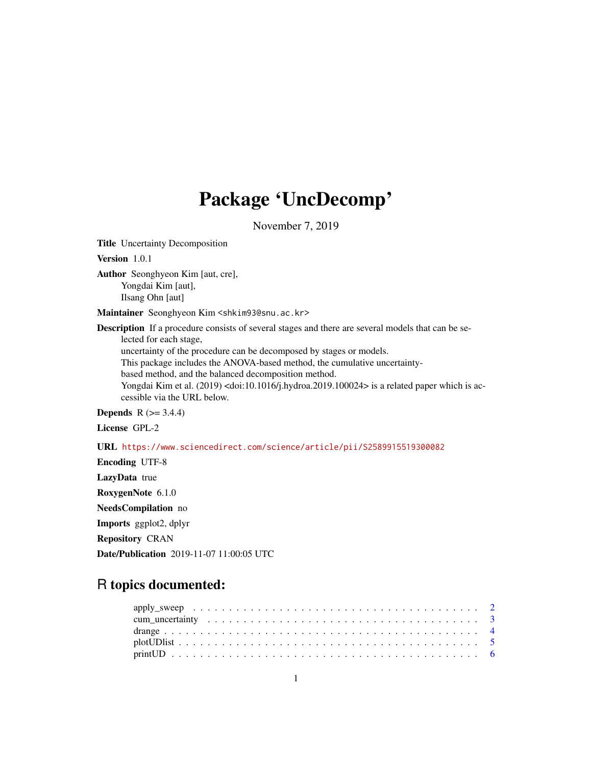# Package 'UncDecomp'

November 7, 2019

Title Uncertainty Decomposition

Version 1.0.1

Author Seonghyeon Kim [aut, cre], Yongdai Kim [aut], Ilsang Ohn [aut]

Maintainer Seonghyeon Kim <shkim93@snu.ac.kr>

Description If a procedure consists of several stages and there are several models that can be selected for each stage,

uncertainty of the procedure can be decomposed by stages or models.

This package includes the ANOVA-based method, the cumulative uncertainty-

based method, and the balanced decomposition method.

Yongdai Kim et al. (2019) <doi:10.1016/j.hydroa.2019.100024> is a related paper which is accessible via the URL below.

**Depends**  $R$  ( $> = 3.4.4$ )

License GPL-2

URL <https://www.sciencedirect.com/science/article/pii/S2589915519300082>

Encoding UTF-8 LazyData true RoxygenNote 6.1.0 NeedsCompilation no Imports ggplot2, dplyr Repository CRAN Date/Publication 2019-11-07 11:00:05 UTC

# R topics documented: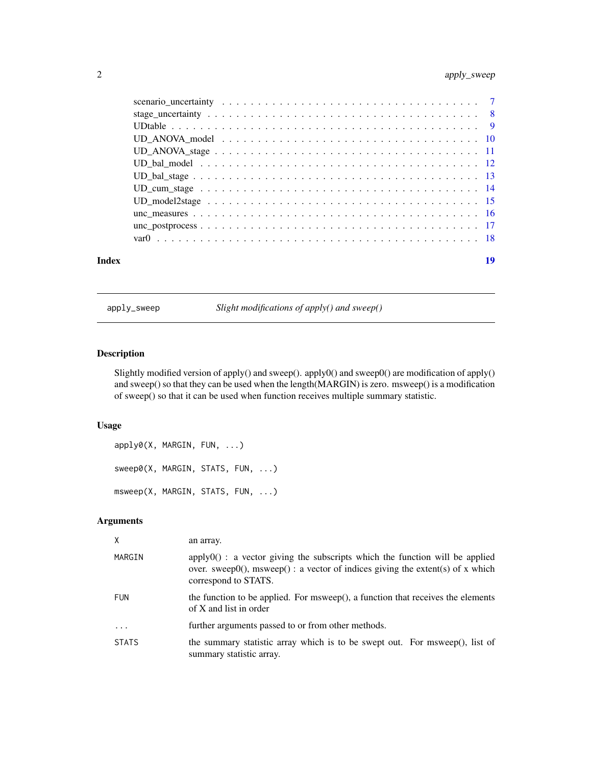<span id="page-1-0"></span>

| Index | 19 |
|-------|----|

apply\_sweep *Slight modifications of apply() and sweep()*

# Description

Slightly modified version of apply() and sweep(). apply0() and sweep0() are modification of apply() and sweep() so that they can be used when the length(MARGIN) is zero. msweep() is a modification of sweep() so that it can be used when function receives multiple summary statistic.

# Usage

```
apply0(X, MARGIN, FUN, ...)
sweep0(X, MARGIN, STATS, FUN, ...)
msweep(X, MARGIN, STATS, FUN, ...)
```
# Arguments

| X            | an array.                                                                                                                                                                                       |
|--------------|-------------------------------------------------------------------------------------------------------------------------------------------------------------------------------------------------|
| MARGIN       | $apply0()$ : a vector giving the subscripts which the function will be applied<br>over. sweep $(0)$ , msweep $()$ : a vector of indices giving the extent(s) of x which<br>correspond to STATS. |
| <b>FUN</b>   | the function to be applied. For msweep(), a function that receives the elements<br>of X and list in order                                                                                       |
| $\ddotsc$    | further arguments passed to or from other methods.                                                                                                                                              |
| <b>STATS</b> | the summary statistic array which is to be swept out. For msweep(), list of<br>summary statistic array.                                                                                         |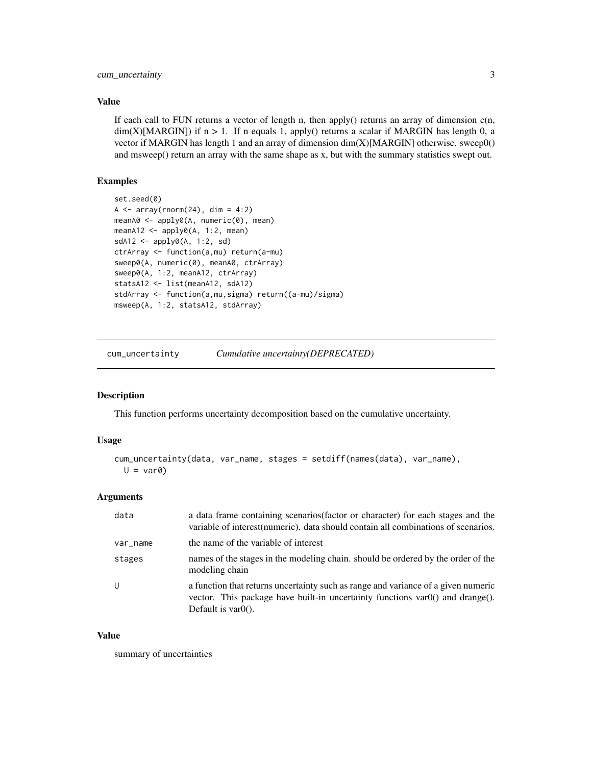# <span id="page-2-0"></span>Value

If each call to FUN returns a vector of length n, then apply() returns an array of dimension  $c(n,$  $dim(X)[MARGIN])$  if  $n > 1$ . If n equals 1, apply() returns a scalar if MARGIN has length 0, a vector if MARGIN has length 1 and an array of dimension dim(X)[MARGIN] otherwise. sweep0() and msweep() return an array with the same shape as x, but with the summary statistics swept out.

# Examples

```
set.seed(0)
A \leftarrow array(rnorm(24), dim = 4:2)meanA0 <- apply0(A, numeric(0), mean)
meanA12 <- apply0(A, 1:2, mean)
sdA12 \leftarrow apply0(A, 1:2, sd)ctrArray <- function(a,mu) return(a-mu)
sweep0(A, numeric(0), meanA0, ctrArray)
sweep0(A, 1:2, meanA12, ctrArray)
statsA12 <- list(meanA12, sdA12)
stdArray <- function(a,mu,sigma) return((a-mu)/sigma)
msweep(A, 1:2, statsA12, stdArray)
```
cum\_uncertainty *Cumulative uncertainty(DEPRECATED)*

#### Description

This function performs uncertainty decomposition based on the cumulative uncertainty.

#### Usage

```
cum_uncertainty(data, var_name, stages = setdiff(names(data), var_name),
 U = var0
```
#### Arguments

| data     | a data frame containing scenarios (factor or character) for each stages and the<br>variable of interest (numeric), data should contain all combinations of scenarios.                                                  |
|----------|------------------------------------------------------------------------------------------------------------------------------------------------------------------------------------------------------------------------|
| var_name | the name of the variable of interest                                                                                                                                                                                   |
| stages   | names of the stages in the modeling chain, should be ordered by the order of the<br>modeling chain                                                                                                                     |
| U        | a function that returns uncertainty such as range and variance of a given numeric<br>vector. This package have built-in uncertainty functions $\text{var}(0)$ and $\text{drange}(0)$ .<br>Default is $\text{var}(0)$ . |

#### Value

summary of uncertainties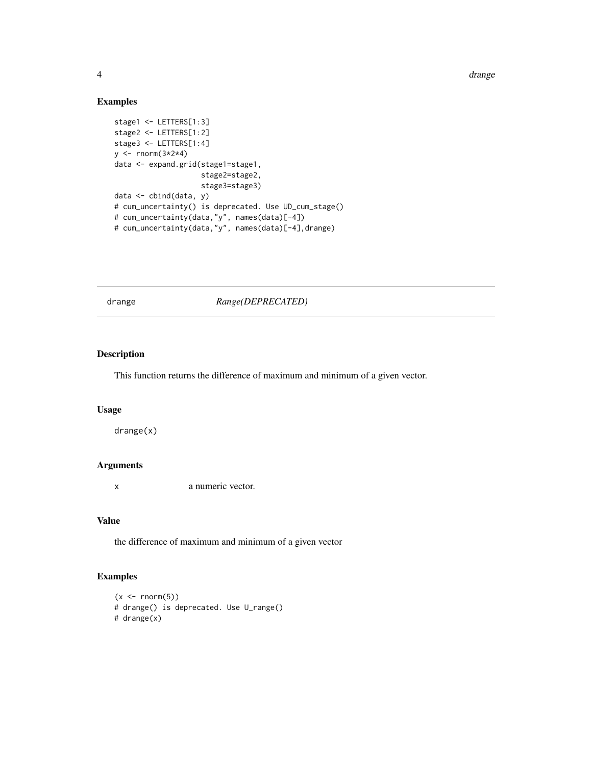4 drange

# Examples

```
stage1 <- LETTERS[1:3]
stage2 <- LETTERS[1:2]
stage3 <- LETTERS[1:4]
y <- rnorm(3*2*4)
data <- expand.grid(stage1=stage1,
                    stage2=stage2,
                    stage3=stage3)
data <- cbind(data, y)
# cum_uncertainty() is deprecated. Use UD_cum_stage()
# cum_uncertainty(data,"y", names(data)[-4])
# cum_uncertainty(data,"y", names(data)[-4],drange)
```
drange *Range(DEPRECATED)*

# Description

This function returns the difference of maximum and minimum of a given vector.

# Usage

drange(x)

# Arguments

x a numeric vector.

# Value

the difference of maximum and minimum of a given vector

```
(x < -rnorm(5))# drange() is deprecated. Use U_range()
# drange(x)
```
<span id="page-3-0"></span>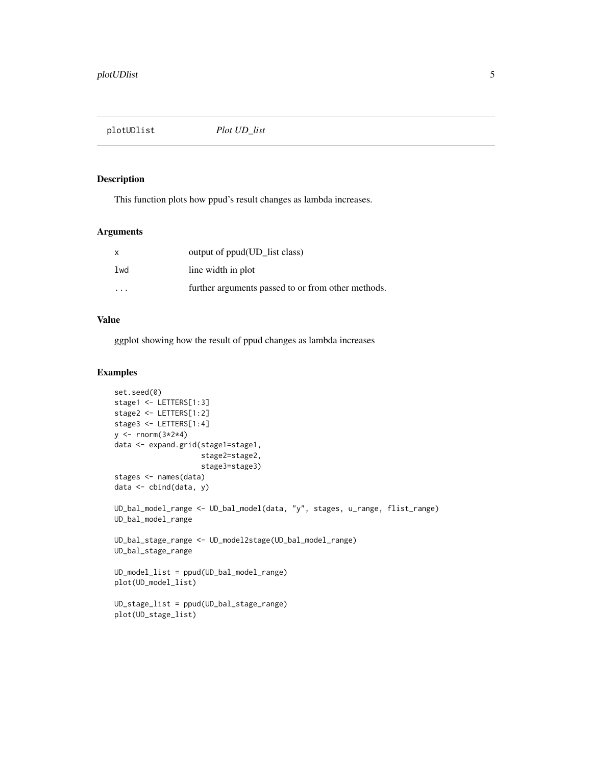<span id="page-4-0"></span>plotUDlist *Plot UD\_list*

# Description

This function plots how ppud's result changes as lambda increases.

#### Arguments

| X                    | output of ppud(UD_list class)                      |
|----------------------|----------------------------------------------------|
| lwd                  | line width in plot                                 |
| $\ddot{\phantom{0}}$ | further arguments passed to or from other methods. |

# Value

ggplot showing how the result of ppud changes as lambda increases

```
set.seed(0)
stage1 <- LETTERS[1:3]
stage2 <- LETTERS[1:2]
stage3 <- LETTERS[1:4]
y \leftarrow \text{rnorm}(3 \times 2 \times 4)data <- expand.grid(stage1=stage1,
                     stage2=stage2,
                     stage3=stage3)
stages <- names(data)
data <- cbind(data, y)
UD_bal_model_range <- UD_bal_model(data, "y", stages, u_range, flist_range)
UD_bal_model_range
UD_bal_stage_range <- UD_model2stage(UD_bal_model_range)
UD_bal_stage_range
UD_model_list = ppud(UD_bal_model_range)
plot(UD_model_list)
UD_stage_list = ppud(UD_bal_stage_range)
plot(UD_stage_list)
```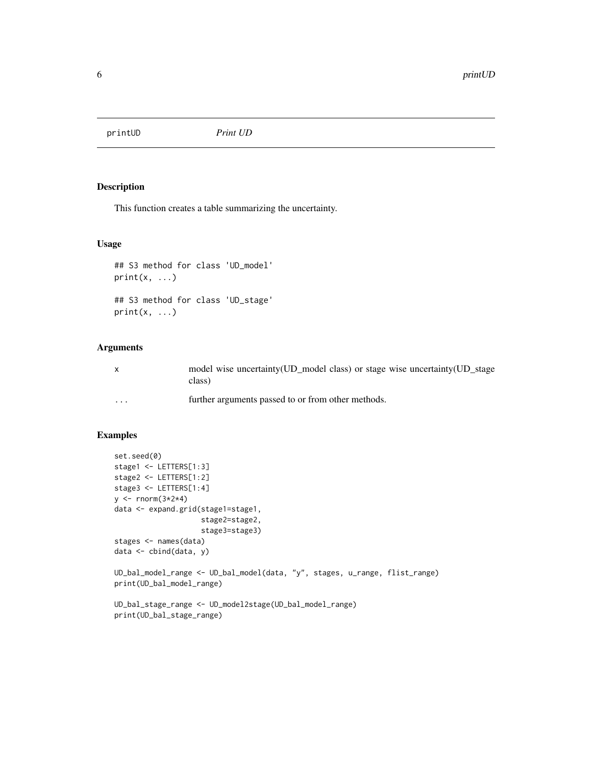<span id="page-5-0"></span>printUD *Print UD*

# Description

This function creates a table summarizing the uncertainty.

# Usage

```
## S3 method for class 'UD_model'
print(x, \ldots)## S3 method for class 'UD_stage'
print(x, \ldots)
```
# Arguments

| $\mathsf{x}$ | model wise uncertainty (UD_model class) or stage wise uncertainty (UD_stage<br>class) |
|--------------|---------------------------------------------------------------------------------------|
| $\cdots$     | further arguments passed to or from other methods.                                    |

```
set.seed(0)
stage1 <- LETTERS[1:3]
stage2 <- LETTERS[1:2]
stage3 <- LETTERS[1:4]
y <- rnorm(3*2*4)
data <- expand.grid(stage1=stage1,
                    stage2=stage2,
                    stage3=stage3)
stages <- names(data)
data <- cbind(data, y)
UD_bal_model_range <- UD_bal_model(data, "y", stages, u_range, flist_range)
print(UD_bal_model_range)
UD_bal_stage_range <- UD_model2stage(UD_bal_model_range)
print(UD_bal_stage_range)
```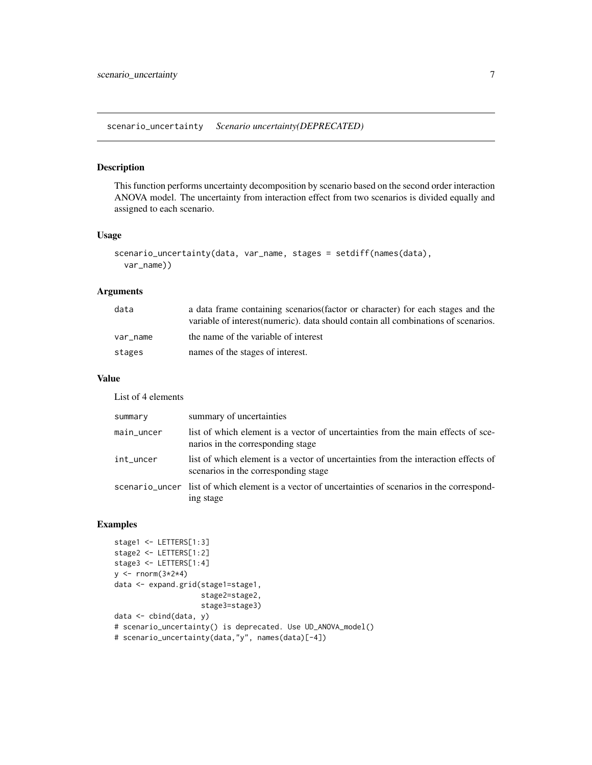<span id="page-6-0"></span>scenario\_uncertainty *Scenario uncertainty(DEPRECATED)*

#### Description

This function performs uncertainty decomposition by scenario based on the second order interaction ANOVA model. The uncertainty from interaction effect from two scenarios is divided equally and assigned to each scenario.

# Usage

```
scenario_uncertainty(data, var_name, stages = setdiff(names(data),
 var_name))
```
#### Arguments

| data     | a data frame containing scenarios (factor or character) for each stages and the    |
|----------|------------------------------------------------------------------------------------|
|          | variable of interest (numeric), data should contain all combinations of scenarios. |
| var name | the name of the variable of interest                                               |
| stages   | names of the stages of interest.                                                   |

# Value

List of 4 elements

| summary    | summary of uncertainties                                                                                                   |
|------------|----------------------------------------------------------------------------------------------------------------------------|
| main_uncer | list of which element is a vector of uncertainties from the main effects of sce-<br>narios in the corresponding stage      |
| int_uncer  | list of which element is a vector of uncertainties from the interaction effects of<br>scenarios in the corresponding stage |
|            | scenario_uncer list of which element is a vector of uncertainties of scenarios in the correspond-<br>ing stage             |

```
stage1 <- LETTERS[1:3]
stage2 <- LETTERS[1:2]
stage3 <- LETTERS[1:4]
y \leftarrow \text{rnorm}(3 \times 2 \times 4)data <- expand.grid(stage1=stage1,
                      stage2=stage2,
                      stage3=stage3)
data <- cbind(data, y)
# scenario_uncertainty() is deprecated. Use UD_ANOVA_model()
# scenario_uncertainty(data,"y", names(data)[-4])
```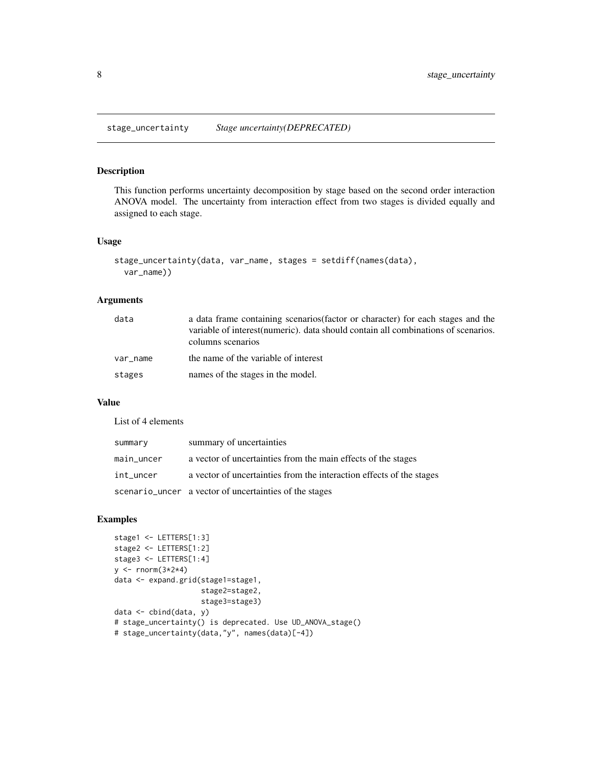<span id="page-7-0"></span>stage\_uncertainty *Stage uncertainty(DEPRECATED)*

# Description

This function performs uncertainty decomposition by stage based on the second order interaction ANOVA model. The uncertainty from interaction effect from two stages is divided equally and assigned to each stage.

#### Usage

```
stage_uncertainty(data, var_name, stages = setdiff(names(data),
 var_name))
```
#### Arguments

| data     | a data frame containing scenarios (factor or character) for each stages and the<br>variable of interest (numeric), data should contain all combinations of scenarios.<br>columns scenarios |
|----------|--------------------------------------------------------------------------------------------------------------------------------------------------------------------------------------------|
| var name | the name of the variable of interest                                                                                                                                                       |
| stages   | names of the stages in the model.                                                                                                                                                          |

### Value

List of 4 elements

| summary    | summary of uncertainties                                             |
|------------|----------------------------------------------------------------------|
| main_uncer | a vector of uncertainties from the main effects of the stages        |
| int_uncer  | a vector of uncertainties from the interaction effects of the stages |
|            | scenario_uncer a vector of uncertainties of the stages               |

```
stage1 <- LETTERS[1:3]
stage2 <- LETTERS[1:2]
stage3 <- LETTERS[1:4]
y \leftarrow \text{rnorm}(3 \times 2 \times 4)data <- expand.grid(stage1=stage1,
                      stage2=stage2,
                      stage3=stage3)
data <- cbind(data, y)
# stage_uncertainty() is deprecated. Use UD_ANOVA_stage()
# stage_uncertainty(data,"y", names(data)[-4])
```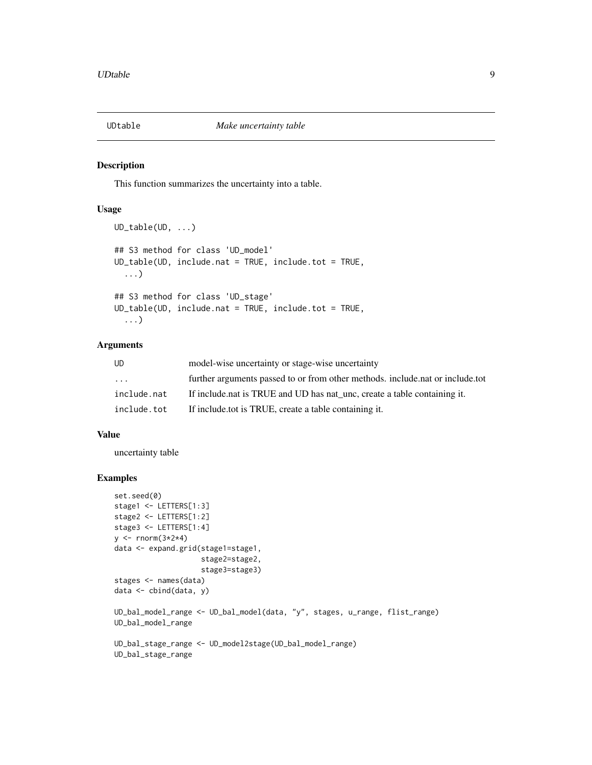<span id="page-8-0"></span>

#### Description

This function summarizes the uncertainty into a table.

#### Usage

```
UD_table(UD, ...)
## S3 method for class 'UD_model'
UD_table(UD, include.nat = TRUE, include.tot = TRUE,
  ...)
## S3 method for class 'UD_stage'
UD_table(UD, include.nat = TRUE, include.tot = TRUE,
  ...)
```
# Arguments

| UD                | model-wise uncertainty or stage-wise uncertainty                               |
|-------------------|--------------------------------------------------------------------------------|
| $\cdot\cdot\cdot$ | further arguments passed to or from other methods, include, nat or include, to |
| include.nat       | If include nat is TRUE and UD has nat unc, create a table containing it.       |
| include.tot       | If include to t is TRUE, create a table containing it.                         |

# Value

uncertainty table

```
set.seed(0)
stage1 <- LETTERS[1:3]
stage2 <- LETTERS[1:2]
stage3 <- LETTERS[1:4]
y \le - rnorm(3 \times 2 \times 4)data <- expand.grid(stage1=stage1,
                     stage2=stage2,
                     stage3=stage3)
stages <- names(data)
data <- cbind(data, y)
UD_bal_model_range <- UD_bal_model(data, "y", stages, u_range, flist_range)
UD_bal_model_range
UD_bal_stage_range <- UD_model2stage(UD_bal_model_range)
UD_bal_stage_range
```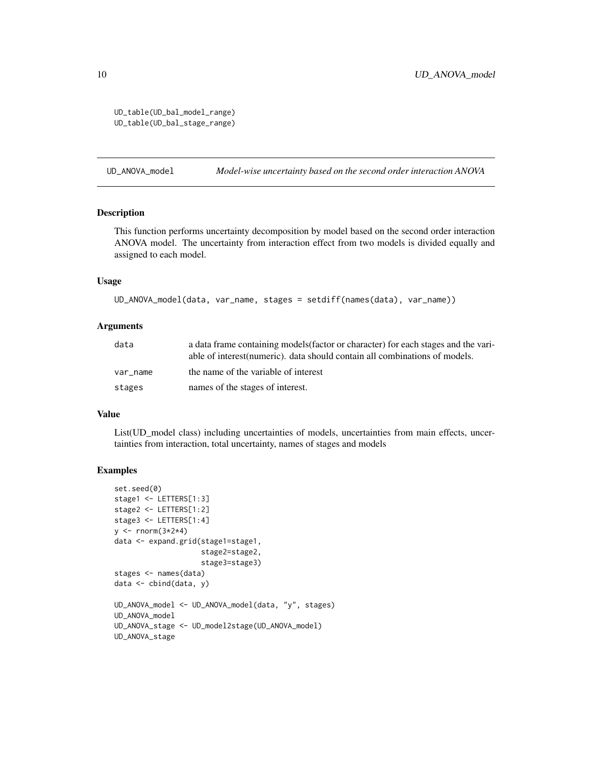<span id="page-9-0"></span>UD\_table(UD\_bal\_model\_range) UD\_table(UD\_bal\_stage\_range)

UD\_ANOVA\_model *Model-wise uncertainty based on the second order interaction ANOVA*

# Description

This function performs uncertainty decomposition by model based on the second order interaction ANOVA model. The uncertainty from interaction effect from two models is divided equally and assigned to each model.

#### Usage

```
UD_ANOVA_model(data, var_name, stages = setdiff(names(data), var_name))
```
#### **Arguments**

| data     | a data frame containing models (factor or character) for each stages and the vari-<br>able of interest (numeric), data should contain all combinations of models. |
|----------|-------------------------------------------------------------------------------------------------------------------------------------------------------------------|
| var name | the name of the variable of interest                                                                                                                              |
| stages   | names of the stages of interest.                                                                                                                                  |

# Value

List(UD\_model class) including uncertainties of models, uncertainties from main effects, uncertainties from interaction, total uncertainty, names of stages and models

```
set.seed(0)
stage1 <- LETTERS[1:3]
stage2 <- LETTERS[1:2]
stage3 <- LETTERS[1:4]
y \leftarrow \text{norm}(3 \times 2 \times 4)data <- expand.grid(stage1=stage1,
                      stage2=stage2,
                      stage3=stage3)
stages <- names(data)
data <- cbind(data, y)
UD_ANOVA_model <- UD_ANOVA_model(data, "y", stages)
UD_ANOVA_model
UD_ANOVA_stage <- UD_model2stage(UD_ANOVA_model)
UD_ANOVA_stage
```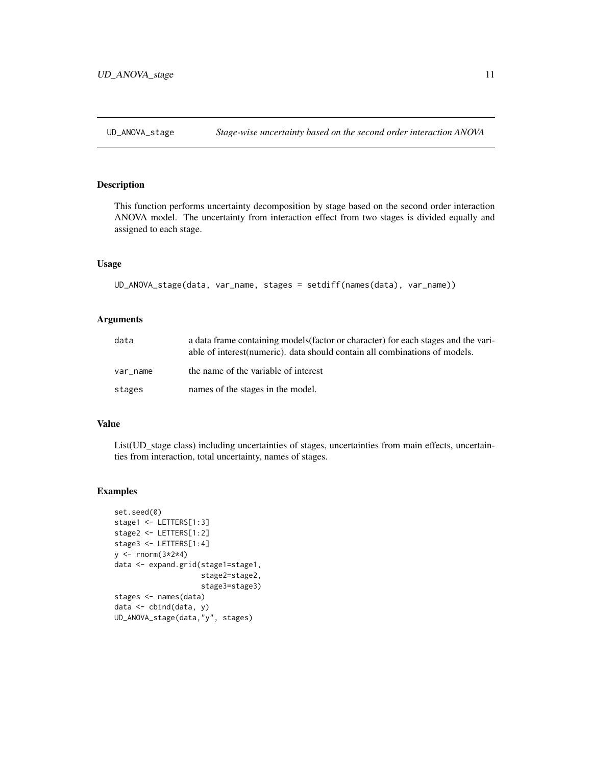<span id="page-10-0"></span>

# Description

This function performs uncertainty decomposition by stage based on the second order interaction ANOVA model. The uncertainty from interaction effect from two stages is divided equally and assigned to each stage.

#### Usage

```
UD_ANOVA_stage(data, var_name, stages = setdiff(names(data), var_name))
```
# Arguments

| data     | a data frame containing models (factor or character) for each stages and the vari-<br>able of interest (numeric), data should contain all combinations of models. |
|----------|-------------------------------------------------------------------------------------------------------------------------------------------------------------------|
| var name | the name of the variable of interest                                                                                                                              |
| stages   | names of the stages in the model.                                                                                                                                 |

# Value

List(UD\_stage class) including uncertainties of stages, uncertainties from main effects, uncertainties from interaction, total uncertainty, names of stages.

```
set.seed(0)
stage1 <- LETTERS[1:3]
stage2 <- LETTERS[1:2]
stage3 <- LETTERS[1:4]
y \le - rnorm(3*2*4)
data <- expand.grid(stage1=stage1,
                     stage2=stage2,
                     stage3=stage3)
stages <- names(data)
data <- cbind(data, y)
UD_ANOVA_stage(data,"y", stages)
```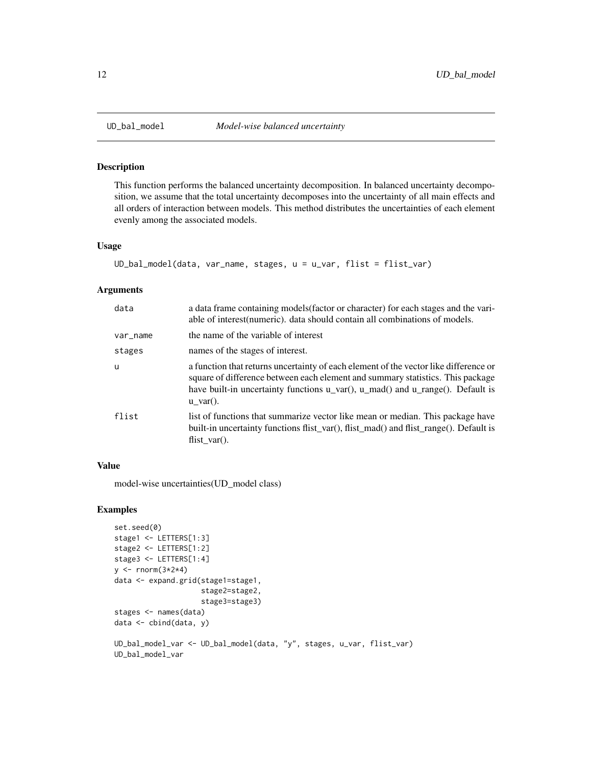#### Description

This function performs the balanced uncertainty decomposition. In balanced uncertainty decomposition, we assume that the total uncertainty decomposes into the uncertainty of all main effects and all orders of interaction between models. This method distributes the uncertainties of each element evenly among the associated models.

#### Usage

```
UD_bal_model(data, var_name, stages, u = u_var, flist = flist_var)
```
#### Arguments

| data     | a data frame containing models (factor or character) for each stages and the vari-<br>able of interest (numeric). data should contain all combinations of models.                                                                                                                                                   |
|----------|---------------------------------------------------------------------------------------------------------------------------------------------------------------------------------------------------------------------------------------------------------------------------------------------------------------------|
| var_name | the name of the variable of interest                                                                                                                                                                                                                                                                                |
| stages   | names of the stages of interest.                                                                                                                                                                                                                                                                                    |
| <b>u</b> | a function that returns uncertainty of each element of the vector like difference or<br>square of difference between each element and summary statistics. This package<br>have built-in uncertainty functions $u_{\text{var}}(t)$ , $u_{\text{var}}(t)$ and $u_{\text{var}}(t)$ . Default is<br>$u \text{ var}()$ . |
| flist    | list of functions that summarize vector like mean or median. This package have<br>built-in uncertainty functions flist_var(), flist_mad() and flist_range(). Default is<br>flist $var()$ .                                                                                                                          |

# Value

model-wise uncertainties(UD\_model class)

```
set.seed(0)
stage1 <- LETTERS[1:3]
stage2 <- LETTERS[1:2]
stage3 <- LETTERS[1:4]
y \le - rnorm(3 \times 2 \times 4)data <- expand.grid(stage1=stage1,
                     stage2=stage2,
                     stage3=stage3)
stages <- names(data)
data <- cbind(data, y)
UD_bal_model_var <- UD_bal_model(data, "y", stages, u_var, flist_var)
UD_bal_model_var
```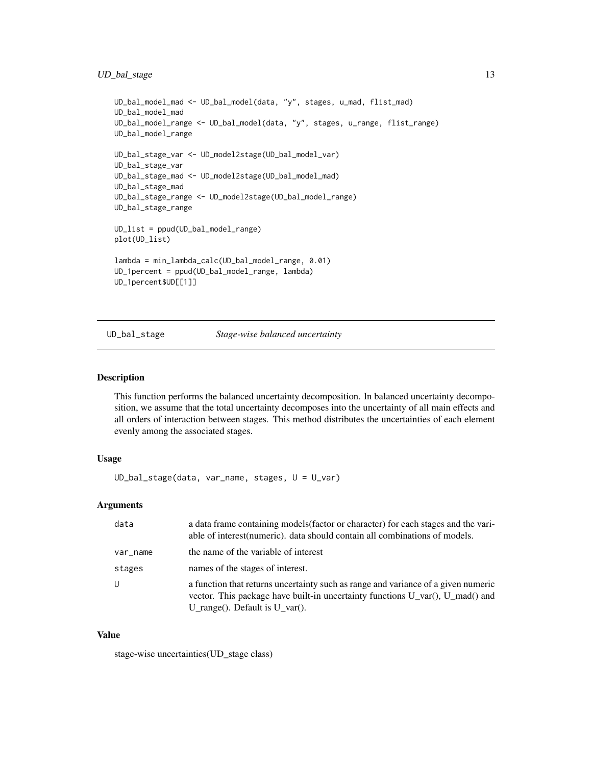# <span id="page-12-0"></span>UD\_bal\_stage 13

```
UD_bal_model_mad <- UD_bal_model(data, "y", stages, u_mad, flist_mad)
UD_bal_model_mad
UD_bal_model_range <- UD_bal_model(data, "y", stages, u_range, flist_range)
UD_bal_model_range
UD_bal_stage_var <- UD_model2stage(UD_bal_model_var)
UD_bal_stage_var
UD_bal_stage_mad <- UD_model2stage(UD_bal_model_mad)
UD_bal_stage_mad
UD_bal_stage_range <- UD_model2stage(UD_bal_model_range)
UD_bal_stage_range
UD_list = ppud(UD_bal_model_range)
plot(UD_list)
lambda = min_lambda_calc(UD_bal_model_range, 0.01)
UD_1percent = ppud(UD_bal_model_range, lambda)
UD_1percent$UD[[1]]
```
UD\_bal\_stage *Stage-wise balanced uncertainty*

# Description

This function performs the balanced uncertainty decomposition. In balanced uncertainty decomposition, we assume that the total uncertainty decomposes into the uncertainty of all main effects and all orders of interaction between stages. This method distributes the uncertainties of each element evenly among the associated stages.

#### Usage

UD\_bal\_stage(data, var\_name, stages, U = U\_var)

# Arguments

| data     | a data frame containing models (factor or character) for each stages and the vari-<br>able of interest (numeric). data should contain all combinations of models.                                              |
|----------|----------------------------------------------------------------------------------------------------------------------------------------------------------------------------------------------------------------|
| var_name | the name of the variable of interest                                                                                                                                                                           |
| stages   | names of the stages of interest.                                                                                                                                                                               |
| U        | a function that returns uncertainty such as range and variance of a given numeric<br>vector. This package have built-in uncertainty functions $U_{var}(l, U_{mid})$ and<br>U_range(). Default is $U_{var}$ (). |

#### Value

stage-wise uncertainties(UD\_stage class)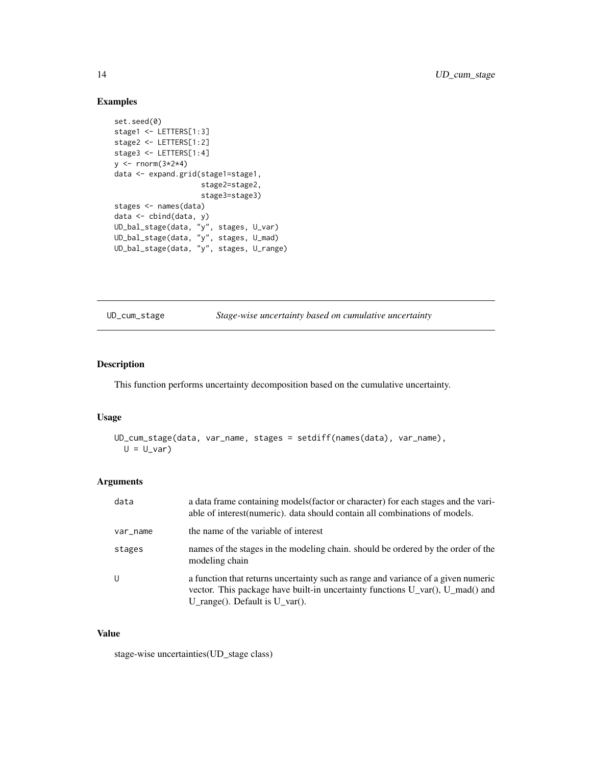# Examples

```
set.seed(0)
stage1 <- LETTERS[1:3]
stage2 <- LETTERS[1:2]
stage3 <- LETTERS[1:4]
y \leftarrow \text{rnorm}(3 \times 2 \times 4)data <- expand.grid(stage1=stage1,
                     stage2=stage2,
                      stage3=stage3)
stages <- names(data)
data <- cbind(data, y)
UD_bal_stage(data, "y", stages, U_var)
UD_bal_stage(data, "y", stages, U_mad)
UD_bal_stage(data, "y", stages, U_range)
```
UD\_cum\_stage *Stage-wise uncertainty based on cumulative uncertainty*

# Description

This function performs uncertainty decomposition based on the cumulative uncertainty.

# Usage

```
UD_cum_stage(data, var_name, stages = setdiff(names(data), var_name),
 U = U_var
```
#### Arguments

| data     | a data frame containing models (factor or character) for each stages and the vari-<br>able of interest (numeric). data should contain all combinations of models.                                                             |
|----------|-------------------------------------------------------------------------------------------------------------------------------------------------------------------------------------------------------------------------------|
| var_name | the name of the variable of interest                                                                                                                                                                                          |
| stages   | names of the stages in the modeling chain, should be ordered by the order of the<br>modeling chain                                                                                                                            |
| U        | a function that returns uncertainty such as range and variance of a given numeric<br>vector. This package have built-in uncertainty functions $U \, \text{var}(\cdot, U \, \text{mad})$ and<br>U range(). Default is U var(). |

# Value

stage-wise uncertainties(UD\_stage class)

<span id="page-13-0"></span>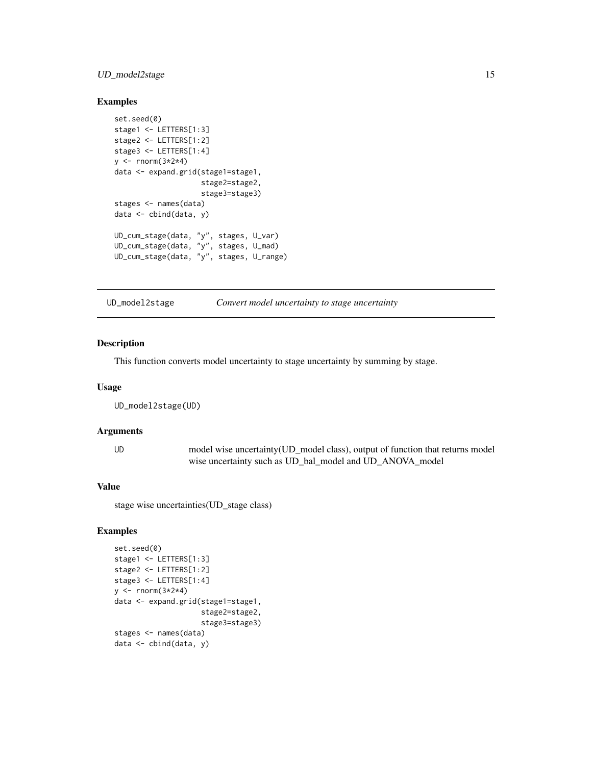# <span id="page-14-0"></span>UD\_model2stage 15

# Examples

```
set.seed(0)
stage1 <- LETTERS[1:3]
stage2 <- LETTERS[1:2]
stage3 <- LETTERS[1:4]
y \le - rnorm(3 \times 2 \times 4)data <- expand.grid(stage1=stage1,
                     stage2=stage2,
                     stage3=stage3)
stages <- names(data)
data <- cbind(data, y)
UD_cum_stage(data, "y", stages, U_var)
UD_cum_stage(data, "y", stages, U_mad)
UD_cum_stage(data, "y", stages, U_range)
```
UD\_model2stage *Convert model uncertainty to stage uncertainty*

#### Description

This function converts model uncertainty to stage uncertainty by summing by stage.

#### Usage

UD\_model2stage(UD)

# Arguments

UD model wise uncertainty(UD\_model class), output of function that returns model wise uncertainty such as UD\_bal\_model and UD\_ANOVA\_model

#### Value

stage wise uncertainties(UD\_stage class)

```
set.seed(0)
stage1 <- LETTERS[1:3]
stage2 <- LETTERS[1:2]
stage3 <- LETTERS[1:4]
y \le rnorm(3 \times 2 \times 4)
data <- expand.grid(stage1=stage1,
                      stage2=stage2,
                      stage3=stage3)
stages <- names(data)
data <- cbind(data, y)
```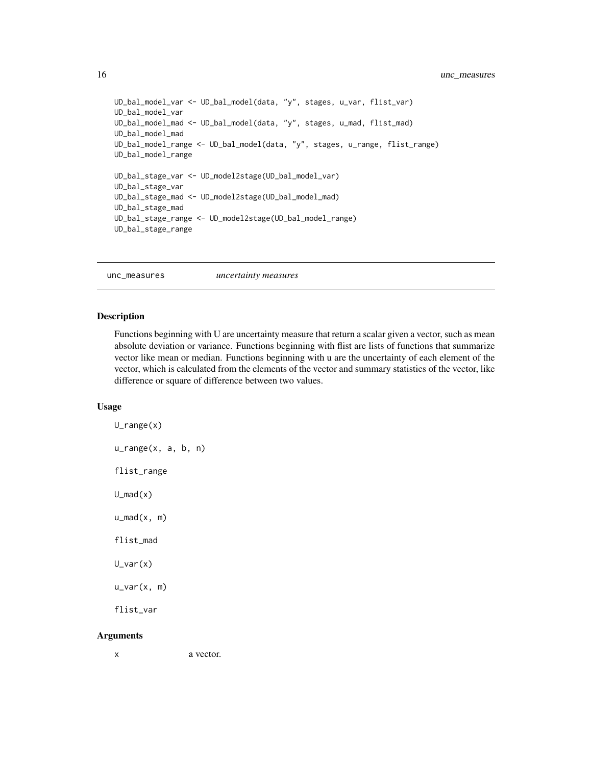```
UD_bal_model_var <- UD_bal_model(data, "y", stages, u_var, flist_var)
UD_bal_model_var
UD_bal_model_mad <- UD_bal_model(data, "y", stages, u_mad, flist_mad)
UD_bal_model_mad
UD_bal_model_range <- UD_bal_model(data, "y", stages, u_range, flist_range)
UD_bal_model_range
UD_bal_stage_var <- UD_model2stage(UD_bal_model_var)
UD_bal_stage_var
UD_bal_stage_mad <- UD_model2stage(UD_bal_model_mad)
UD_bal_stage_mad
UD_bal_stage_range <- UD_model2stage(UD_bal_model_range)
UD_bal_stage_range
```
unc\_measures *uncertainty measures*

#### Description

Functions beginning with U are uncertainty measure that return a scalar given a vector, such as mean absolute deviation or variance. Functions beginning with flist are lists of functions that summarize vector like mean or median. Functions beginning with u are the uncertainty of each element of the vector, which is calculated from the elements of the vector and summary statistics of the vector, like difference or square of difference between two values.

#### Usage

U\_range(x) u\_range(x, a, b, n) flist\_range  $U_mad(x)$  $u_m$ ad $(x, m)$ flist\_mad U\_var(x) u\_var(x, m) flist\_var

# Arguments

x a vector.

<span id="page-15-0"></span>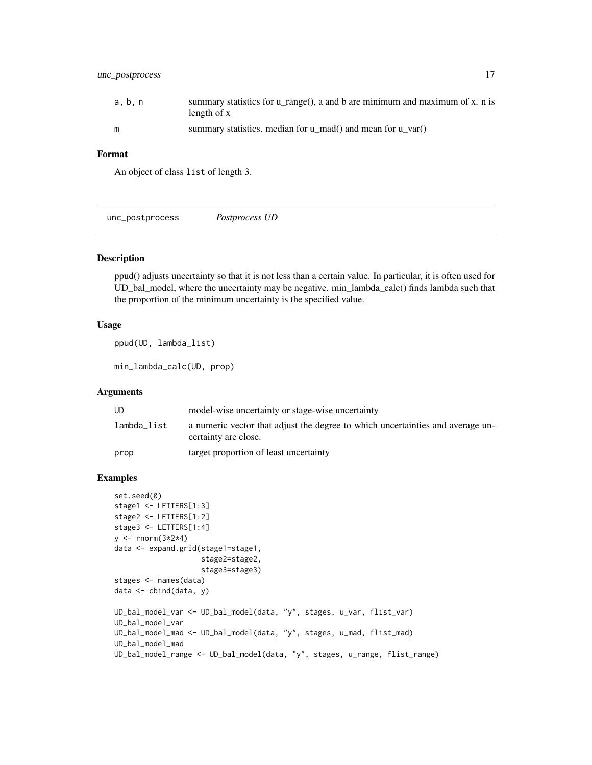# <span id="page-16-0"></span>unc\_postprocess 17

# Format

An object of class list of length 3.

unc\_postprocess *Postprocess UD*

#### Description

ppud() adjusts uncertainty so that it is not less than a certain value. In particular, it is often used for UD\_bal\_model, where the uncertainty may be negative. min\_lambda\_calc() finds lambda such that the proportion of the minimum uncertainty is the specified value.

#### Usage

ppud(UD, lambda\_list)

min\_lambda\_calc(UD, prop)

#### **Arguments**

| UD          | model-wise uncertainty or stage-wise uncertainty                                                       |
|-------------|--------------------------------------------------------------------------------------------------------|
| lambda_list | a numeric vector that adjust the degree to which uncertainties and average un-<br>certainty are close. |
| prop        | target proportion of least uncertainty                                                                 |

```
set.seed(0)
stage1 <- LETTERS[1:3]
stage2 <- LETTERS[1:2]
stage3 <- LETTERS[1:4]
y \le - rnorm(3 \times 2 \times 4)data <- expand.grid(stage1=stage1,
                    stage2=stage2,
                     stage3=stage3)
stages <- names(data)
data <- cbind(data, y)
UD_bal_model_var <- UD_bal_model(data, "y", stages, u_var, flist_var)
UD_bal_model_var
UD_bal_model_mad <- UD_bal_model(data, "y", stages, u_mad, flist_mad)
UD_bal_model_mad
UD_bal_model_range <- UD_bal_model(data, "y", stages, u_range, flist_range)
```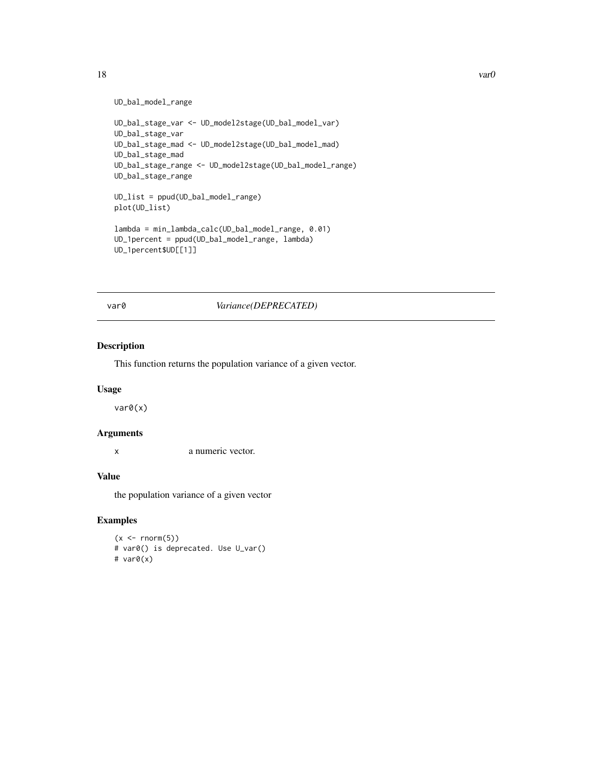```
UD_bal_model_range
```

```
UD_bal_stage_var <- UD_model2stage(UD_bal_model_var)
UD_bal_stage_var
UD_bal_stage_mad <- UD_model2stage(UD_bal_model_mad)
UD_bal_stage_mad
UD_bal_stage_range <- UD_model2stage(UD_bal_model_range)
UD_bal_stage_range
UD_list = ppud(UD_bal_model_range)
plot(UD_list)
lambda = min_lambda_calc(UD_bal_model_range, 0.01)
UD_1percent = ppud(UD_bal_model_range, lambda)
UD_1percent$UD[[1]]
```
var0 *Variance(DEPRECATED)*

# Description

This function returns the population variance of a given vector.

#### Usage

var0(x)

#### Arguments

x a numeric vector.

# Value

the population variance of a given vector

# Examples

 $(x < -rnorm(5))$ # var0() is deprecated. Use U\_var() # var0(x)